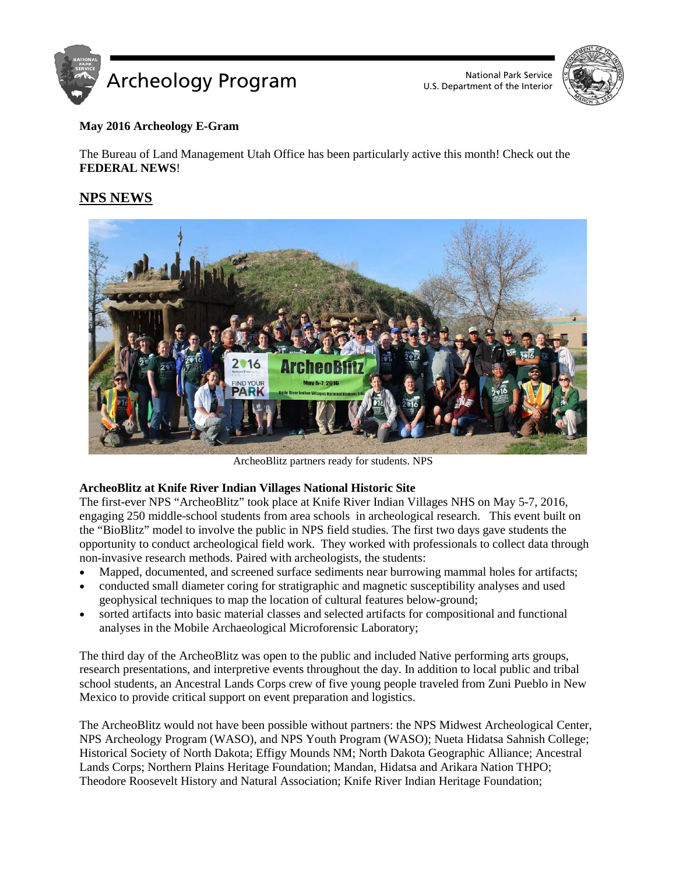

U.S. Department of the Interior



## **May 2016 Archeology E-Gram**

The Bureau of Land Management Utah Office has been particularly active this month! Check out the **FEDERAL NEWS**!

# **NPS NEWS**



ArcheoBlitz partners ready for students. NPS

## **ArcheoBlitz at Knife River Indian Villages National Historic Site**

The first-ever NPS "ArcheoBlitz" took place at Knife River Indian Villages NHS on May 5-7, 2016, engaging 250 middle-school students from area schools in archeological research. This event built on the "BioBlitz" model to involve the public in NPS field studies. The first two days gave students the opportunity to conduct archeological field work. They worked with professionals to collect data through non-invasive research methods. Paired with archeologists, the students:

- Mapped, documented, and screened surface sediments near burrowing mammal holes for artifacts;
- conducted small diameter coring for stratigraphic and magnetic susceptibility analyses and used geophysical techniques to map the location of cultural features below-ground;
- sorted artifacts into basic material classes and selected artifacts for compositional and functional analyses in the Mobile Archaeological Microforensic Laboratory;

The third day of the ArcheoBlitz was open to the public and included Native performing arts groups, research presentations, and interpretive events throughout the day. In addition to local public and tribal school students, an Ancestral Lands Corps crew of five young people traveled from Zuni Pueblo in New Mexico to provide critical support on event preparation and logistics.

The ArcheoBlitz would not have been possible without partners: the NPS Midwest Archeological Center, NPS Archeology Program (WASO), and NPS Youth Program (WASO); Nueta Hidatsa Sahnish College; Historical Society of North Dakota; Effigy Mounds NM; North Dakota Geographic Alliance; Ancestral Lands Corps; Northern Plains Heritage Foundation; Mandan, Hidatsa and Arikara Nation THPO; Theodore Roosevelt History and Natural Association; Knife River Indian Heritage Foundation;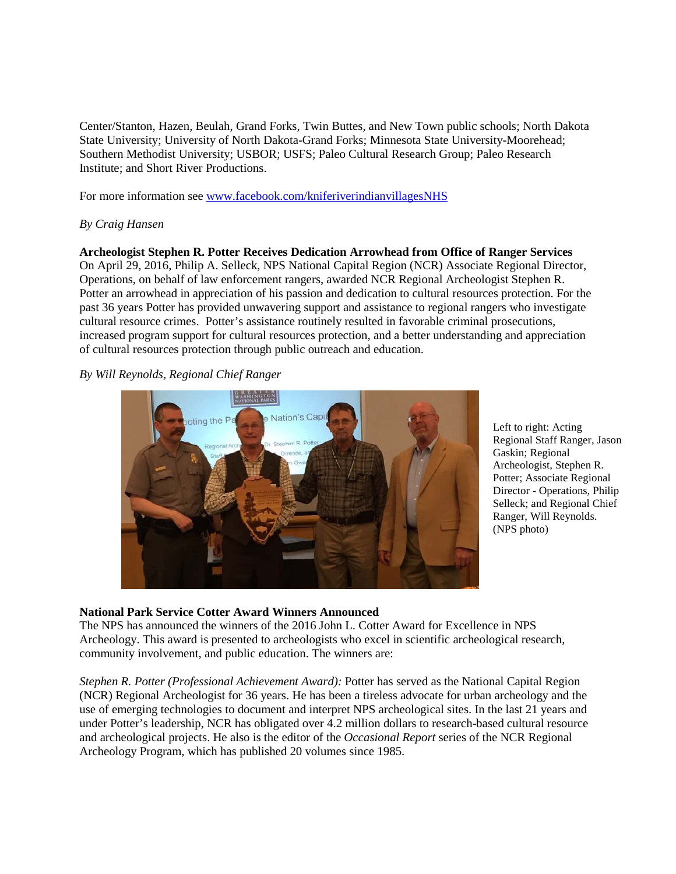Center/Stanton, Hazen, Beulah, Grand Forks, Twin Buttes, and New Town public schools; North Dakota State University; University of North Dakota-Grand Forks; Minnesota State University-Moorehead; Southern Methodist University; USBOR; USFS; Paleo Cultural Research Group; Paleo Research Institute; and Short River Productions.

For more information see [www.facebook.com/kniferiverindianvillagesNHS](http://www.facebook.com/kniferiverindianvillagesNHS)

## *By Craig Hansen*

**Archeologist Stephen R. Potter Receives Dedication Arrowhead from Office of Ranger Services** On April 29, 2016, Philip A. Selleck, NPS National Capital Region (NCR) Associate Regional Director, Operations, on behalf of law enforcement rangers, awarded NCR Regional Archeologist Stephen R. Potter an arrowhead in appreciation of his passion and dedication to cultural resources protection. For the past 36 years Potter has provided unwavering support and assistance to regional rangers who investigate cultural resource crimes. Potter's assistance routinely resulted in favorable criminal prosecutions, increased program support for cultural resources protection, and a better understanding and appreciation of cultural resources protection through public outreach and education.

## *By Will Reynolds, Regional Chief Ranger*



Left to right: Acting Regional Staff Ranger, Jason Gaskin; Regional Archeologist, Stephen R. Potter; Associate Regional Director - Operations, Philip Selleck; and Regional Chief Ranger, Will Reynolds. (NPS photo)

## **National Park Service Cotter Award Winners Announced**

The NPS has announced the winners of the 2016 John L. Cotter Award for Excellence in NPS Archeology. This award is presented to archeologists who excel in scientific archeological research, community involvement, and public education. The winners are:

*Stephen R. Potter (Professional Achievement Award):* Potter has served as the National Capital Region (NCR) Regional Archeologist for 36 years. He has been a tireless advocate for urban archeology and the use of emerging technologies to document and interpret NPS archeological sites. In the last 21 years and under Potter's leadership, NCR has obligated over 4.2 million dollars to research-based cultural resource and archeological projects. He also is the editor of the *Occasional Report* series of the NCR Regional Archeology Program, which has published 20 volumes since 1985.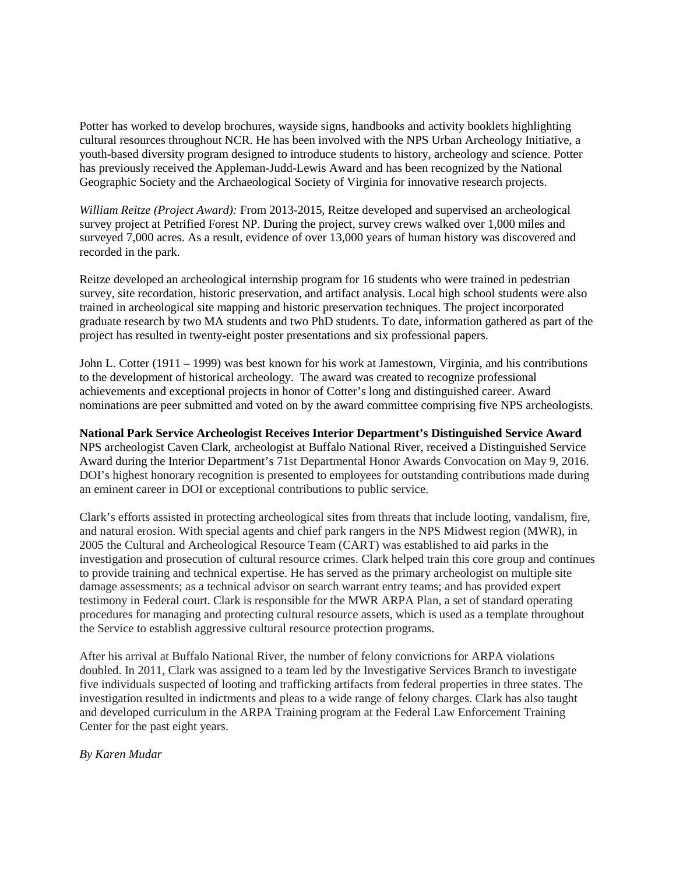Potter has worked to develop brochures, wayside signs, handbooks and activity booklets highlighting cultural resources throughout NCR. He has been involved with the NPS Urban Archeology Initiative, a youth-based diversity program designed to introduce students to history, archeology and science. Potter has previously received the Appleman-Judd-Lewis Award and has been recognized by the National Geographic Society and the Archaeological Society of Virginia for innovative research projects.

*William Reitze (Project Award):* From 2013-2015, Reitze developed and supervised an archeological survey project at Petrified Forest NP. During the project, survey crews walked over 1,000 miles and surveyed 7,000 acres. As a result, evidence of over 13,000 years of human history was discovered and recorded in the park.

Reitze developed an archeological internship program for 16 students who were trained in pedestrian survey, site recordation, historic preservation, and artifact analysis. Local high school students were also trained in archeological site mapping and historic preservation techniques. The project incorporated graduate research by two MA students and two PhD students. To date, information gathered as part of the project has resulted in twenty-eight poster presentations and six professional papers.

John L. Cotter (1911 – 1999) was best known for his work at Jamestown, Virginia, and his contributions to the development of historical archeology. The award was created to recognize professional achievements and exceptional projects in honor of Cotter's long and distinguished career. Award nominations are peer submitted and voted on by the award committee comprising five NPS archeologists.

**National Park Service Archeologist Receives Interior Department's Distinguished Service Award** NPS archeologist Caven Clark, archeologist at Buffalo National River, received a Distinguished Service Award during the Interior Department's 71st Departmental Honor Awards Convocation on May 9, 2016. DOI's highest honorary recognition is presented to employees for outstanding contributions made during an eminent career in DOI or exceptional contributions to public service.

Clark's efforts assisted in protecting archeological sites from threats that include looting, vandalism, fire, and natural erosion. With special agents and chief park rangers in the NPS Midwest region (MWR), in 2005 the Cultural and Archeological Resource Team (CART) was established to aid parks in the investigation and prosecution of cultural resource crimes. Clark helped train this core group and continues to provide training and technical expertise. He has served as the primary archeologist on multiple site damage assessments; as a technical advisor on search warrant entry teams; and has provided expert testimony in Federal court. Clark is responsible for the MWR ARPA Plan, a set of standard operating procedures for managing and protecting cultural resource assets, which is used as a template throughout the Service to establish aggressive cultural resource protection programs.

After his arrival at Buffalo National River, the number of felony convictions for ARPA violations doubled. In 2011, Clark was assigned to a team led by the Investigative Services Branch to investigate five individuals suspected of looting and trafficking artifacts from federal properties in three states. The investigation resulted in indictments and pleas to a wide range of felony charges. Clark has also taught and developed curriculum in the ARPA Training program at the Federal Law Enforcement Training Center for the past eight years.

## *By Karen Mudar*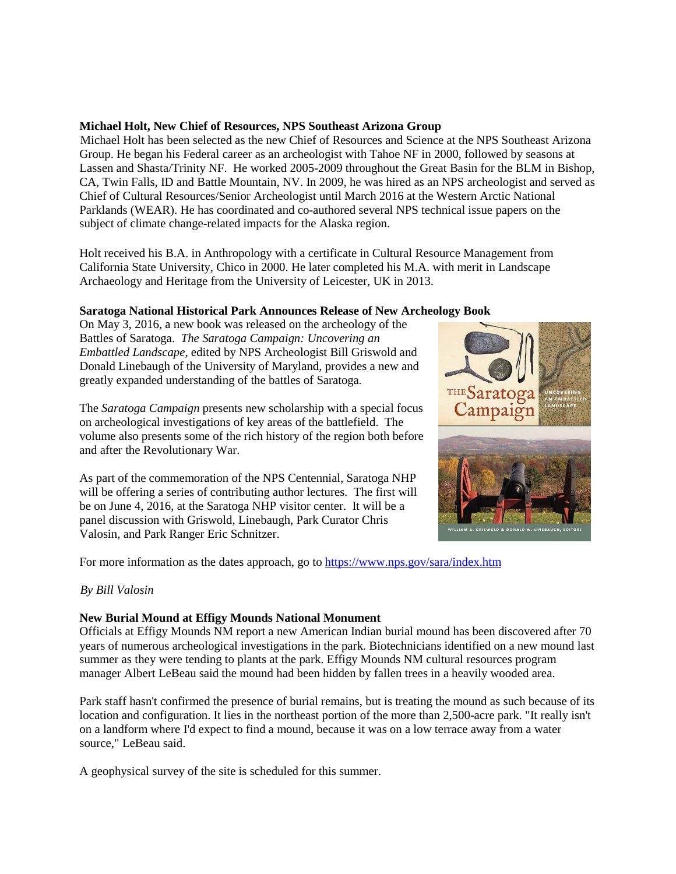## **Michael Holt, New Chief of Resources, NPS Southeast Arizona Group**

Michael Holt has been selected as the new Chief of Resources and Science at the NPS Southeast Arizona Group. He began his Federal career as an archeologist with Tahoe NF in 2000, followed by seasons at Lassen and Shasta/Trinity NF. He worked 2005-2009 throughout the Great Basin for the BLM in Bishop, CA, Twin Falls, ID and Battle Mountain, NV. In 2009, he was hired as an NPS archeologist and served as Chief of Cultural Resources/Senior Archeologist until March 2016 at the Western Arctic National Parklands (WEAR). He has coordinated and co-authored several NPS technical issue papers on the subject of climate change-related impacts for the Alaska region.

Holt received his B.A. in Anthropology with a certificate in Cultural Resource Management from California State University, Chico in 2000. He later completed his M.A. with merit in Landscape Archaeology and Heritage from the University of Leicester, UK in 2013.

## **Saratoga National Historical Park Announces Release of New Archeology Book**

On May 3, 2016, a new book was released on the archeology of the Battles of Saratoga. *The Saratoga Campaign: Uncovering an Embattled Landscape*, edited by NPS Archeologist Bill Griswold and Donald Linebaugh of the University of Maryland, provides a new and greatly expanded understanding of the battles of Saratoga.

The *Saratoga Campaign* presents new scholarship with a special focus on archeological investigations of key areas of the battlefield. The volume also presents some of the rich history of the region both before and after the Revolutionary War.

As part of the commemoration of the NPS Centennial, Saratoga NHP will be offering a series of contributing author lectures. The first will be on June 4, 2016, at the Saratoga NHP visitor center. It will be a panel discussion with Griswold, Linebaugh, Park Curator Chris Valosin, and Park Ranger Eric Schnitzer.



For more information as the dates approach, go to<https://www.nps.gov/sara/index.htm>

## *By Bill Valosin*

## **New Burial Mound at Effigy Mounds National Monument**

Officials at Effigy Mounds NM report a new American Indian burial mound has been discovered after 70 years of numerous archeological investigations in the park. Biotechnicians identified on a new mound last summer as they were tending to plants at the park. Effigy Mounds NM cultural resources program manager Albert LeBeau said the mound had been hidden by fallen trees in a heavily wooded area.

Park staff hasn't confirmed the presence of burial remains, but is treating the mound as such because of its location and configuration. It lies in the northeast portion of the more than 2,500-acre park. "It really isn't on a landform where I'd expect to find a mound, because it was on a low terrace away from a water source," LeBeau said.

A geophysical survey of the site is scheduled for this summer.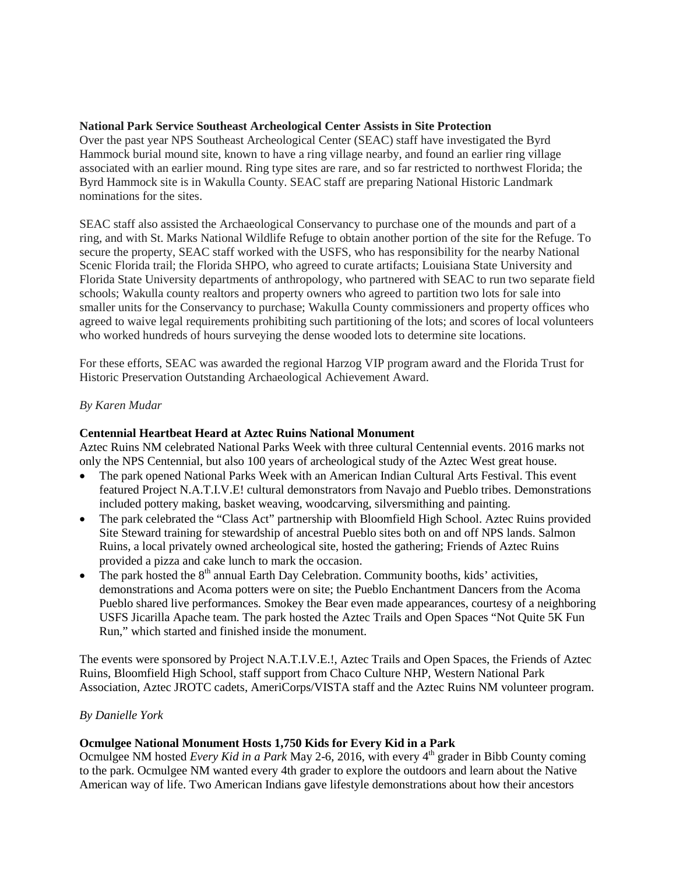## **National Park Service Southeast Archeological Center Assists in Site Protection**

Over the past year NPS Southeast Archeological Center (SEAC) staff have investigated the Byrd Hammock burial mound site, known to have a ring village nearby, and found an earlier ring village associated with an earlier mound. Ring type sites are rare, and so far restricted to northwest Florida; the Byrd Hammock site is in Wakulla County. SEAC staff are preparing National Historic Landmark nominations for the sites.

SEAC staff also assisted the Archaeological Conservancy to purchase one of the mounds and part of a ring, and with St. Marks National Wildlife Refuge to obtain another portion of the site for the Refuge. To secure the property, SEAC staff worked with the USFS, who has responsibility for the nearby National Scenic Florida trail; the Florida SHPO, who agreed to curate artifacts; Louisiana State University and Florida State University departments of anthropology, who partnered with SEAC to run two separate field schools; Wakulla county realtors and property owners who agreed to partition two lots for sale into smaller units for the Conservancy to purchase; Wakulla County commissioners and property offices who agreed to waive legal requirements prohibiting such partitioning of the lots; and scores of local volunteers who worked hundreds of hours surveying the dense wooded lots to determine site locations.

For these efforts, SEAC was awarded the regional Harzog VIP program award and the Florida Trust for Historic Preservation Outstanding Archaeological Achievement Award.

## *By Karen Mudar*

## **Centennial Heartbeat Heard at Aztec Ruins National Monument**

Aztec Ruins NM celebrated National Parks Week with three cultural Centennial events. 2016 marks not only the NPS Centennial, but also 100 years of archeological study of the Aztec West great house.

- The park opened National Parks Week with an American Indian Cultural Arts Festival. This event featured Project N.A.T.I.V.E! cultural demonstrators from Navajo and Pueblo tribes. Demonstrations included pottery making, basket weaving, woodcarving, silversmithing and painting.
- The park celebrated the "Class Act" partnership with Bloomfield High School. Aztec Ruins provided Site Steward training for stewardship of ancestral Pueblo sites both on and off NPS lands. Salmon Ruins, a local privately owned archeological site, hosted the gathering; Friends of Aztec Ruins provided a pizza and cake lunch to mark the occasion.
- The park hosted the  $8<sup>th</sup>$  annual Earth Day Celebration. Community booths, kids' activities, demonstrations and Acoma potters were on site; the Pueblo Enchantment Dancers from the Acoma Pueblo shared live performances. Smokey the Bear even made appearances, courtesy of a neighboring USFS Jicarilla Apache team. The park hosted the Aztec Trails and Open Spaces "Not Quite 5K Fun Run," which started and finished inside the monument.

The events were sponsored by Project N.A.T.I.V.E.!, Aztec Trails and Open Spaces, the Friends of Aztec Ruins, Bloomfield High School, staff support from Chaco Culture NHP, Western National Park Association, Aztec JROTC cadets, AmeriCorps/VISTA staff and the Aztec Ruins NM volunteer program.

## *By Danielle York*

## **Ocmulgee National Monument Hosts 1,750 Kids for Every Kid in a Park**

Ocmulgee NM hosted *Every Kid in a Park* May 2-6, 2016, with every 4<sup>th</sup> grader in Bibb County coming to the park. Ocmulgee NM wanted every 4th grader to explore the outdoors and learn about the Native American way of life. Two American Indians gave lifestyle demonstrations about how their ancestors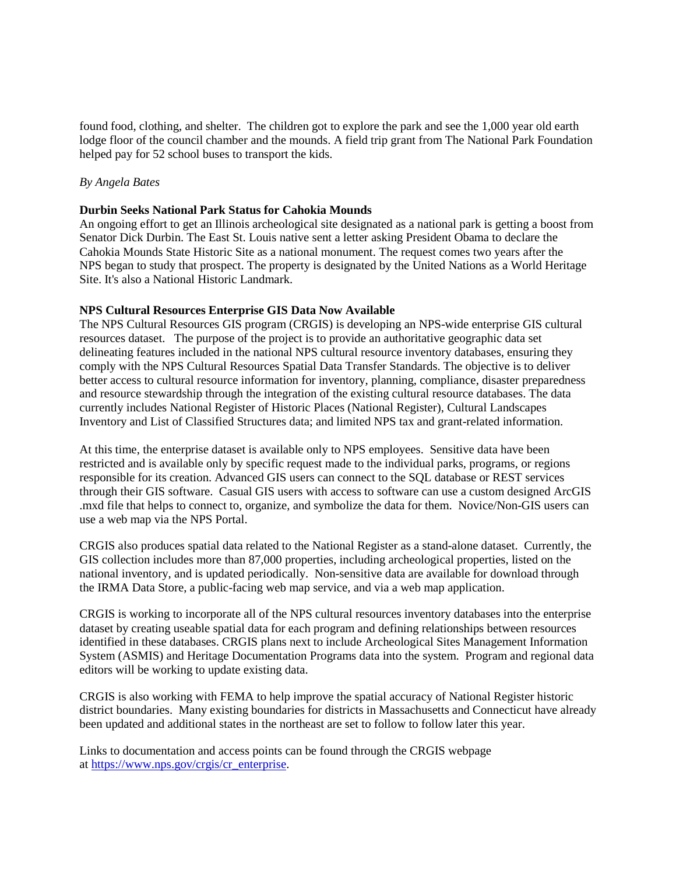found food, clothing, and shelter. The children got to explore the park and see the 1,000 year old earth lodge floor of the council chamber and the mounds. A field trip grant from The National Park Foundation helped pay for 52 school buses to transport the kids.

### *By Angela Bates*

#### **Durbin Seeks National Park Status for Cahokia Mounds**

An ongoing effort to get an Illinois archeological site designated as a national park is getting a boost from Senator Dick Durbin. The East St. Louis native sent a letter asking President Obama to declare the Cahokia Mounds State Historic Site as a national monument. The request comes two years after the NPS began to study that prospect. The property is designated by the United Nations as a World Heritage Site. It's also a National Historic Landmark.

#### **NPS Cultural Resources Enterprise GIS Data Now Available**

The NPS Cultural Resources GIS program (CRGIS) is developing an NPS-wide enterprise GIS cultural resources dataset. The purpose of the project is to provide an authoritative geographic data set delineating features included in the national NPS cultural resource inventory databases, ensuring they comply with the NPS Cultural Resources Spatial Data Transfer Standards. The objective is to deliver better access to cultural resource information for inventory, planning, compliance, disaster preparedness and resource stewardship through the integration of the existing cultural resource databases. The data currently includes National Register of Historic Places (National Register), Cultural Landscapes Inventory and List of Classified Structures data; and limited NPS tax and grant-related information.

At this time, the enterprise dataset is available only to NPS employees. Sensitive data have been restricted and is available only by specific request made to the individual parks, programs, or regions responsible for its creation. Advanced GIS users can connect to the SQL database or REST services through their GIS software. Casual GIS users with access to software can use a custom designed ArcGIS .mxd file that helps to connect to, organize, and symbolize the data for them. Novice/Non-GIS users can use a web map via the NPS Portal.

CRGIS also produces spatial data related to the National Register as a stand-alone dataset. Currently, the GIS collection includes more than 87,000 properties, including archeological properties, listed on the national inventory, and is updated periodically. Non-sensitive data are available for download through the IRMA Data Store, a public-facing web map service, and via a web map application.

CRGIS is working to incorporate all of the NPS cultural resources inventory databases into the enterprise dataset by creating useable spatial data for each program and defining relationships between resources identified in these databases. CRGIS plans next to include Archeological Sites Management Information System (ASMIS) and Heritage Documentation Programs data into the system. Program and regional data editors will be working to update existing data.

CRGIS is also working with FEMA to help improve the spatial accuracy of National Register historic district boundaries. Many existing boundaries for districts in Massachusetts and Connecticut have already been updated and additional states in the northeast are set to follow to follow later this year.

Links to documentation and access points can be found through the CRGIS webpage at [https://www.nps.gov/crgis/cr\\_enterprise.](https://www.nps.gov/crgis/cr_enterprise)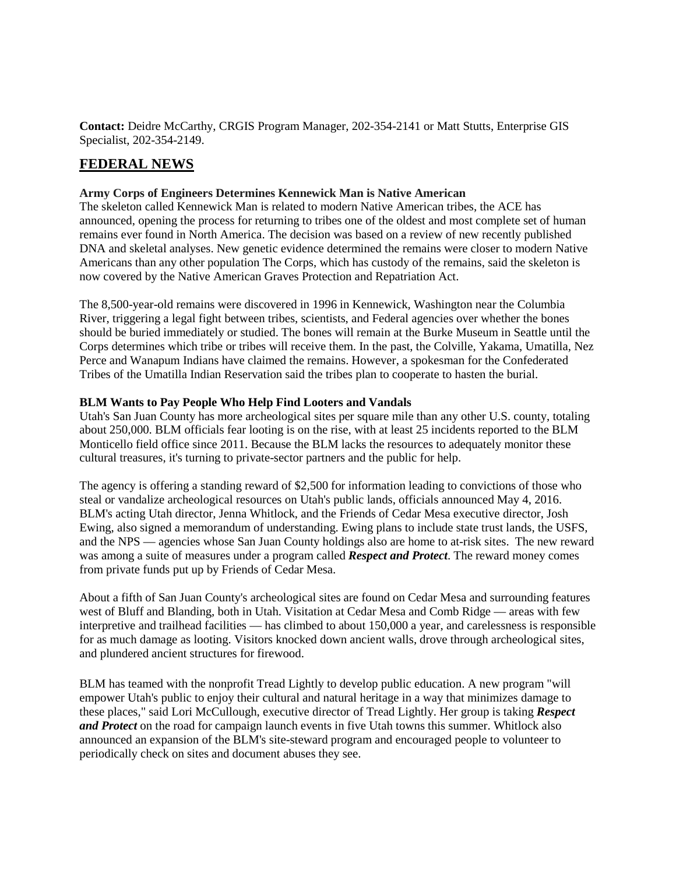**Contact:** Deidre McCarthy, CRGIS Program Manager, 202-354-2141 or Matt Stutts, Enterprise GIS Specialist, 202-354-2149.

# **FEDERAL NEWS**

### **Army Corps of Engineers Determines Kennewick Man is Native American**

The skeleton called Kennewick Man is related to modern Native American tribes, the ACE has announced, opening the process for returning to tribes one of the oldest and most complete set of human remains ever found in North America. The decision was based on a review of new recently published DNA and skeletal analyses. New genetic evidence determined the remains were closer to modern Native Americans than any other population The Corps, which has custody of the remains, said the skeleton is now covered by the Native American Graves Protection and Repatriation Act.

The 8,500-year-old remains were discovered in 1996 in Kennewick, Washington near the Columbia River, triggering a legal fight between tribes, scientists, and Federal agencies over whether the bones should be buried immediately or studied. The bones will remain at the Burke Museum in Seattle until the Corps determines which tribe or tribes will receive them. In the past, the Colville, Yakama, Umatilla, Nez Perce and Wanapum Indians have claimed the remains. However, a spokesman for the Confederated Tribes of the Umatilla Indian Reservation said the tribes plan to cooperate to hasten the burial.

### **BLM Wants to Pay People Who Help Find Looters and Vandals**

Utah's San Juan County has more archeological sites per square mile than any other U.S. county, totaling about 250,000. BLM officials fear looting is on the rise, with at least 25 incidents reported to the BLM Monticello field office since 2011. Because the BLM lacks the resources to adequately monitor these cultural treasures, it's turning to private-sector partners and the public for help.

The agency is offering a standing reward of \$2,500 for information leading to convictions of those who steal or vandalize archeological resources on Utah's public lands, officials announced May 4, 2016. BLM's acting Utah director, Jenna Whitlock, and the Friends of Cedar Mesa executive director, Josh Ewing, also signed a memorandum of understanding. Ewing plans to include state trust lands, the USFS, and the NPS — agencies whose San Juan County holdings also are home to at-risk sites. The new reward was among a suite of measures under a program called *Respect and Protect*. The reward money comes from private funds put up by Friends of Cedar Mesa.

About a fifth of San Juan County's archeological sites are found on Cedar Mesa and surrounding features west of Bluff and Blanding, both in Utah. Visitation at Cedar Mesa and Comb Ridge — areas with few interpretive and trailhead facilities — has climbed to about 150,000 a year, and carelessness is responsible for as much damage as looting. Visitors knocked down ancient walls, drove through archeological sites, and plundered ancient structures for firewood.

BLM has teamed with the nonprofit Tread Lightly to develop public education. A new program "will empower Utah's public to enjoy their cultural and natural heritage in a way that minimizes damage to these places," said Lori McCullough, executive director of Tread Lightly. Her group is taking *Respect and Protect* on the road for campaign launch events in five Utah towns this summer. Whitlock also announced an expansion of the BLM's site-steward program and encouraged people to volunteer to periodically check on sites and document abuses they see.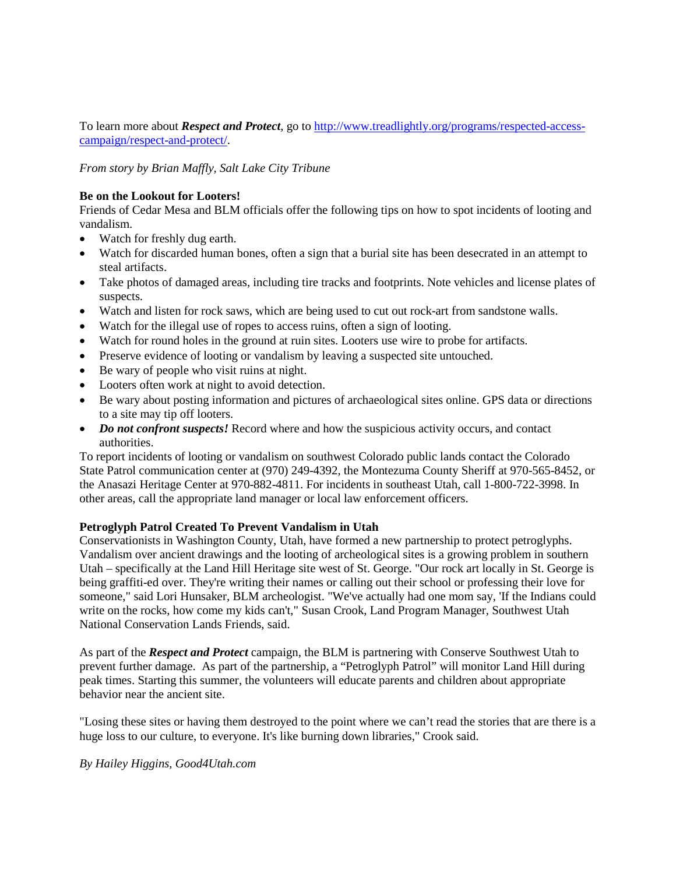To learn more about *Respect and Protect*, go t[o http://www.treadlightly.org/programs/respected-access](http://www.treadlightly.org/programs/respected-access-campaign/respect-and-protect/)[campaign/respect-and-protect/.](http://www.treadlightly.org/programs/respected-access-campaign/respect-and-protect/)

*From story by Brian Maffly, Salt Lake City Tribune* 

### **Be on the Lookout for Looters!**

Friends of Cedar Mesa and BLM officials offer the following tips on how to spot incidents of looting and vandalism.

- Watch for freshly dug earth.
- Watch for discarded human bones, often a sign that a burial site has been desecrated in an attempt to steal artifacts.
- Take photos of damaged areas, including tire tracks and footprints. Note vehicles and license plates of suspects.
- Watch and listen for rock saws, which are being used to cut out rock-art from sandstone walls.
- Watch for the illegal use of ropes to access ruins, often a sign of looting.
- Watch for round holes in the ground at ruin sites. Looters use wire to probe for artifacts.
- Preserve evidence of looting or vandalism by leaving a suspected site untouched.
- Be wary of people who visit ruins at night.
- Looters often work at night to avoid detection.
- Be wary about posting information and pictures of archaeological sites online. GPS data or directions to a site may tip off looters.
- *Do not confront suspects!* Record where and how the suspicious activity occurs, and contact authorities.

To report incidents of looting or vandalism on southwest Colorado public lands contact the Colorado State Patrol communication center at (970) 249-4392, the Montezuma County Sheriff at 970-565-8452, or the Anasazi Heritage Center at 970-882-4811. For incidents in southeast Utah, call 1-800-722-3998. In other areas, call the appropriate land manager or local law enforcement officers.

#### **Petroglyph Patrol Created To Prevent Vandalism in Utah**

Conservationists in Washington County, Utah, have formed a new partnership to protect petroglyphs. Vandalism over ancient drawings and the looting of archeological sites is a growing problem in southern Utah – specifically at the Land Hill Heritage site west of St. George. "Our rock art locally in St. George is being graffiti-ed over. They're writing their names or calling out their school or professing their love for someone," said Lori Hunsaker, BLM archeologist. "We've actually had one mom say, 'If the Indians could write on the rocks, how come my kids can't," Susan Crook, Land Program Manager, Southwest Utah National Conservation Lands Friends, said.

As part of the *Respect and Protect* campaign, the BLM is partnering with Conserve Southwest Utah to prevent further damage. As part of the partnership, a "Petroglyph Patrol" will monitor Land Hill during peak times. Starting this summer, the volunteers will educate parents and children about appropriate behavior near the ancient site.

"Losing these sites or having them destroyed to the point where we can't read the stories that are there is a huge loss to our culture, to everyone. It's like burning down libraries," Crook said.

### *By Hailey Higgins, Good4Utah.com*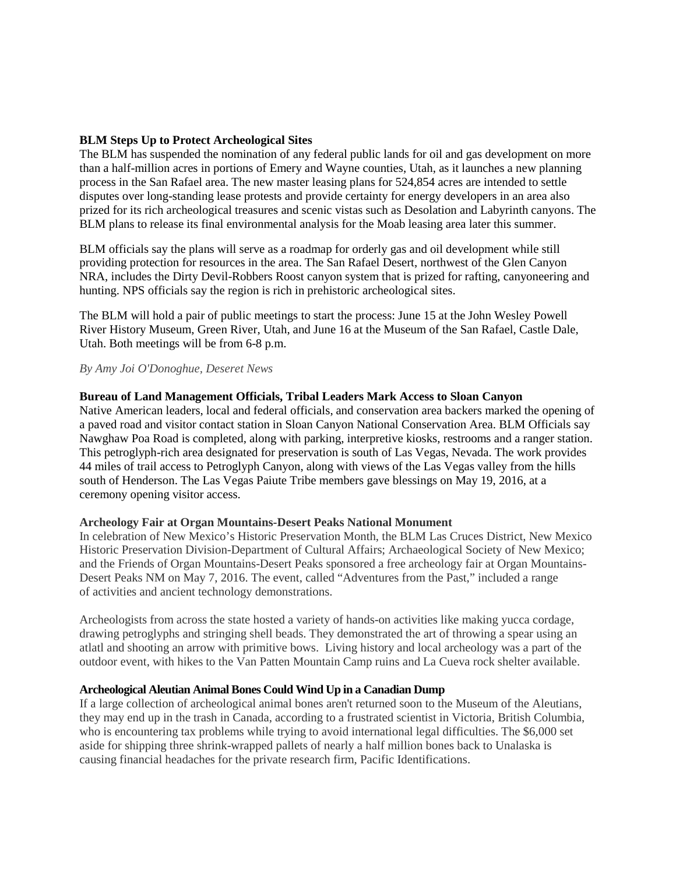## **BLM Steps Up to Protect Archeological Sites**

The BLM has suspended the nomination of any federal public lands for oil and gas development on more than a half-million acres in portions of Emery and Wayne counties, Utah, as it launches a new planning process in the San Rafael area. The new master leasing plans for 524,854 acres are intended to settle disputes over long-standing lease protests and provide certainty for energy developers in an area also prized for its rich archeological treasures and scenic vistas such as Desolation and Labyrinth canyons. The BLM plans to release its final environmental analysis for the Moab leasing area later this summer.

BLM officials say the plans will serve as a roadmap for orderly gas and oil development while still providing protection for resources in the area. The San Rafael Desert, northwest of the Glen Canyon NRA, includes the Dirty Devil-Robbers Roost canyon system that is prized for rafting, canyoneering and hunting. NPS officials say the region is rich in prehistoric archeological sites.

The BLM will hold a pair of public meetings to start the process: June 15 at the John Wesley Powell River History Museum, Green River, Utah, and June 16 at the Museum of the San Rafael, Castle Dale, Utah. Both meetings will be from 6-8 p.m.

#### *By Amy Joi O'Donoghue, Deseret News*

#### **Bureau of Land Management Officials, Tribal Leaders Mark Access to Sloan Canyon**

Native American leaders, local and federal officials, and conservation area backers marked the opening of a paved road and visitor contact station in Sloan Canyon National Conservation Area. BLM Officials say Nawghaw Poa Road is completed, along with parking, interpretive kiosks, restrooms and a ranger station. This petroglyph-rich area designated for preservation is south of Las Vegas, Nevada. The work provides 44 miles of trail access to Petroglyph Canyon, along with views of the Las Vegas valley from the hills south of Henderson. The Las Vegas Paiute Tribe members gave blessings on May 19, 2016, at a ceremony opening visitor access.

### **Archeology Fair at Organ Mountains-Desert Peaks National Monument**

In celebration of New Mexico's Historic Preservation Month, the BLM Las Cruces District, New Mexico Historic Preservation Division-Department of Cultural Affairs; Archaeological Society of New Mexico; and the Friends of Organ Mountains-Desert Peaks sponsored a free archeology fair at Organ Mountains-Desert Peaks NM on May 7, 2016. The event, called "Adventures from the Past," included a range of activities and ancient technology demonstrations.

Archeologists from across the state hosted a variety of hands-on activities like making yucca cordage, drawing petroglyphs and stringing shell beads. They demonstrated the art of throwing a spear using an atlatl and shooting an arrow with primitive bows. Living history and local archeology was a part of the outdoor event, with hikes to the Van Patten Mountain Camp ruins and La Cueva rock shelter available.

#### **Archeological Aleutian Animal Bones Could Wind Up in a Canadian Dump**

If a large collection of archeological animal bones aren't returned soon to the Museum of the Aleutians, they may end up in the trash in Canada, according to a frustrated scientist in Victoria, British Columbia, who is encountering tax problems while trying to avoid international legal difficulties. The \$6,000 set aside for shipping three shrink-wrapped pallets of nearly a half million bones back to Unalaska is causing financial headaches for the private research firm, Pacific Identifications.